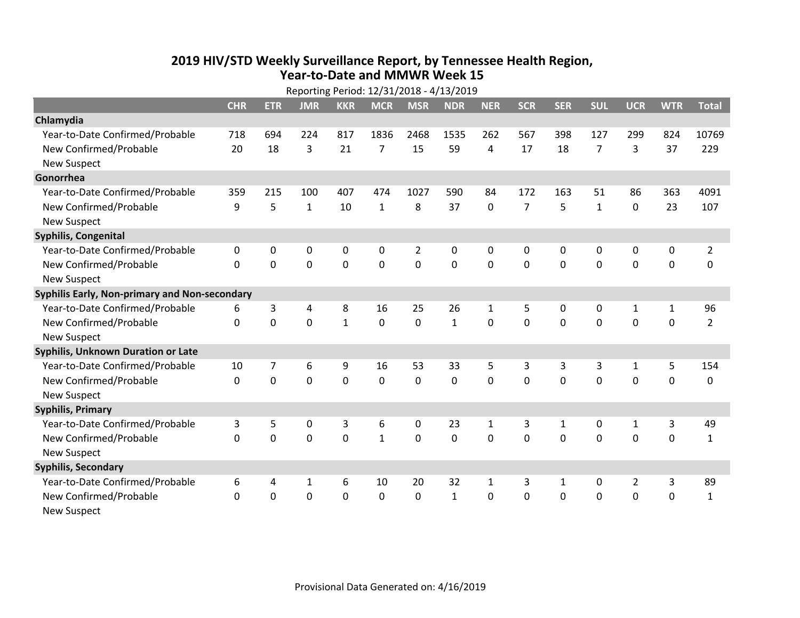## **2019 HIV /STD Weekly Surveillance Report, by Tennessee Health Region, Year‐to‐Date and MMWR Week 15** Reporting Period: 12/31/2018 ‐ 4/13/2019

| Reporting Period: 12/31/2018 - 4/13/2019      |              |             |              |              |                |                |              |              |                |              |              |                |              |                |
|-----------------------------------------------|--------------|-------------|--------------|--------------|----------------|----------------|--------------|--------------|----------------|--------------|--------------|----------------|--------------|----------------|
|                                               | <b>CHR</b>   | <b>ETR</b>  | <b>JMR</b>   | <b>KKR</b>   | <b>MCR</b>     | <b>MSR</b>     | <b>NDR</b>   | <b>NER</b>   | <b>SCR</b>     | <b>SER</b>   | <b>SUL</b>   | <b>UCR</b>     | <b>WTR</b>   | <b>Total</b>   |
| Chlamydia                                     |              |             |              |              |                |                |              |              |                |              |              |                |              |                |
| Year-to-Date Confirmed/Probable               | 718          | 694         | 224          | 817          | 1836           | 2468           | 1535         | 262          | 567            | 398          | 127          | 299            | 824          | 10769          |
| New Confirmed/Probable                        | 20           | 18          | 3            | 21           | $\overline{7}$ | 15             | 59           | 4            | 17             | 18           | 7            | 3              | 37           | 229            |
| <b>New Suspect</b>                            |              |             |              |              |                |                |              |              |                |              |              |                |              |                |
| Gonorrhea                                     |              |             |              |              |                |                |              |              |                |              |              |                |              |                |
| Year-to-Date Confirmed/Probable               | 359          | 215         | 100          | 407          | 474            | 1027           | 590          | 84           | 172            | 163          | 51           | 86             | 363          | 4091           |
| New Confirmed/Probable                        | 9            | 5           | $\mathbf{1}$ | 10           | $\mathbf{1}$   | 8              | 37           | $\mathbf 0$  | $\overline{7}$ | 5            | $\mathbf{1}$ | 0              | 23           | 107            |
| <b>New Suspect</b>                            |              |             |              |              |                |                |              |              |                |              |              |                |              |                |
| <b>Syphilis, Congenital</b>                   |              |             |              |              |                |                |              |              |                |              |              |                |              |                |
| Year-to-Date Confirmed/Probable               | 0            | 0           | $\mathbf 0$  | 0            | $\pmb{0}$      | $\overline{2}$ | 0            | 0            | 0              | 0            | 0            | 0              | 0            | $\overline{2}$ |
| New Confirmed/Probable                        | $\mathbf{0}$ | $\mathbf 0$ | 0            | 0            | $\mathbf 0$    | $\mathbf 0$    | 0            | $\mathbf 0$  | $\mathbf 0$    | 0            | 0            | 0              | $\mathbf 0$  | $\Omega$       |
| <b>New Suspect</b>                            |              |             |              |              |                |                |              |              |                |              |              |                |              |                |
| Syphilis Early, Non-primary and Non-secondary |              |             |              |              |                |                |              |              |                |              |              |                |              |                |
| Year-to-Date Confirmed/Probable               | 6            | 3           | 4            | 8            | 16             | 25             | 26           | $\mathbf{1}$ | 5              | 0            | 0            | $\mathbf{1}$   | $\mathbf{1}$ | 96             |
| New Confirmed/Probable                        | $\Omega$     | 0           | $\Omega$     | $\mathbf{1}$ | $\mathbf 0$    | $\mathbf 0$    | $\mathbf{1}$ | $\Omega$     | $\Omega$       | $\Omega$     | $\Omega$     | $\Omega$       | $\mathbf 0$  | $\overline{2}$ |
| <b>New Suspect</b>                            |              |             |              |              |                |                |              |              |                |              |              |                |              |                |
| Syphilis, Unknown Duration or Late            |              |             |              |              |                |                |              |              |                |              |              |                |              |                |
| Year-to-Date Confirmed/Probable               | 10           | 7           | 6            | 9            | 16             | 53             | 33           | 5            | 3              | 3            | 3            | 1              | 5            | 154            |
| New Confirmed/Probable                        | $\Omega$     | $\mathbf 0$ | $\mathbf 0$  | 0            | $\mathbf 0$    | $\mathbf 0$    | $\Omega$     | $\Omega$     | $\Omega$       | $\Omega$     | $\Omega$     | 0              | $\mathbf 0$  | 0              |
| <b>New Suspect</b>                            |              |             |              |              |                |                |              |              |                |              |              |                |              |                |
| <b>Syphilis, Primary</b>                      |              |             |              |              |                |                |              |              |                |              |              |                |              |                |
| Year-to-Date Confirmed/Probable               | 3            | 5           | $\mathbf 0$  | 3            | 6              | 0              | 23           | $\mathbf{1}$ | 3              | $\mathbf{1}$ | 0            | $\mathbf{1}$   | 3            | 49             |
| New Confirmed/Probable                        | $\Omega$     | 0           | 0            | 0            | $\mathbf{1}$   | 0              | 0            | $\Omega$     | $\Omega$       | $\Omega$     | $\Omega$     | 0              | $\mathbf 0$  | $\mathbf{1}$   |
| <b>New Suspect</b>                            |              |             |              |              |                |                |              |              |                |              |              |                |              |                |
| <b>Syphilis, Secondary</b>                    |              |             |              |              |                |                |              |              |                |              |              |                |              |                |
| Year-to-Date Confirmed/Probable               | 6            | 4           | 1            | 6            | 10             | 20             | 32           | $\mathbf{1}$ | 3              | 1            | 0            | $\overline{2}$ | 3            | 89             |
| New Confirmed/Probable                        | 0            | 0           | 0            | 0            | $\mathbf 0$    | 0              | $\mathbf{1}$ | $\mathbf 0$  | $\Omega$       | 0            | 0            | 0              | $\mathbf 0$  | $\mathbf{1}$   |
| <b>New Suspect</b>                            |              |             |              |              |                |                |              |              |                |              |              |                |              |                |